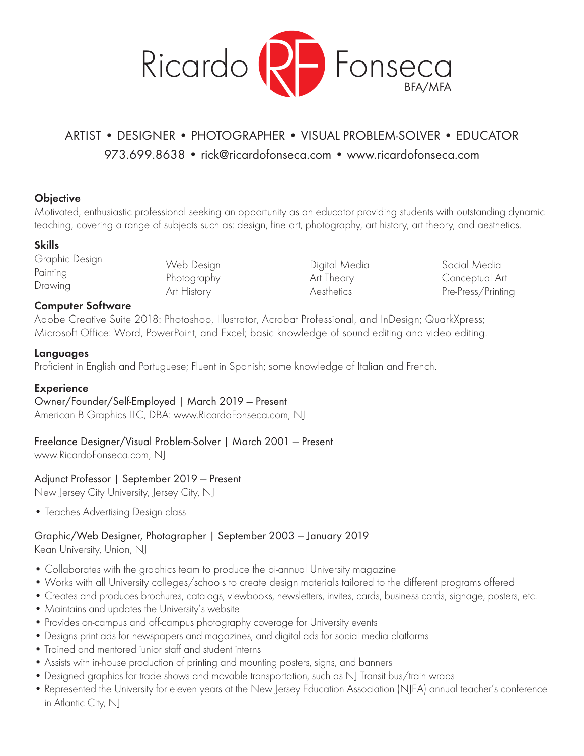

# ARTIST • DESIGNER • PHOTOGRAPHER • VISUAL PROBLEM-SOLVER • EDUCATOR 9 973.699.8638 • rick@ricardofonseca.com • www.ricardofonseca.com

# **Objective**

Motivated, enthusiastic professional seeking an opportunity as an educator providing students with outstanding dynamic teaching, covering a range of subjects such as: design, fine art, photography, art history, art theory, and aesthetics.

# **Skills**

Graphic Design Painting Drawing

Web Design Photography Art History

Digital Media Art Theory Aesthetics

Social Media Conceptual Art Pre-Press/Printing

# **Computer Software**

Adobe Creative Suite 2018: Photoshop, Illustrator, Acrobat Professional, and InDesign; QuarkXpress; Microsoft Office: Word, PowerPoint, and Excel; basic knowledge of sound editing and video editing.

#### **Languages**

Proficient in English and Portuguese; Fluent in Spanish; some knowledge of Italian and French.

#### **Experience**

Owner/Founder/Self-Employed | March 2019 — Present

American B Graphics LLC, DBA: www.RicardoFonseca.com, NJ

# Freelance Designer/Visual Problem-Solver | March 2001 — Present

www.RicardoFonseca.com, NJ

# Adjunct Professor | September 2019 — Present

New Jersey City University, Jersey City, NJ

• Teaches Advertising Design class

# Graphic/Web Designer, Photographer | September 2003 — January 2019

Kean University, Union, NJ

- Collaborates with the graphics team to produce the bi-annual University magazine
- Works with all University colleges/schools to create design materials tailored to the different programs offered
- Creates and produces brochures, catalogs, viewbooks, newsletters, invites, cards, business cards, signage, posters, etc.
- Maintains and updates the University's website
- Provides on-campus and off-campus photography coverage for University events
- Designs print ads for newspapers and magazines, and digital ads for social media platforms
- Trained and mentored junior staff and student interns
- Assists with in-house production of printing and mounting posters, signs, and banners
- Designed graphics for trade shows and movable transportation, such as NJ Transit bus/train wraps
- Represented the University for eleven years at the New Jersey Education Association (NJEA) annual teacher's conference in Atlantic City, NJ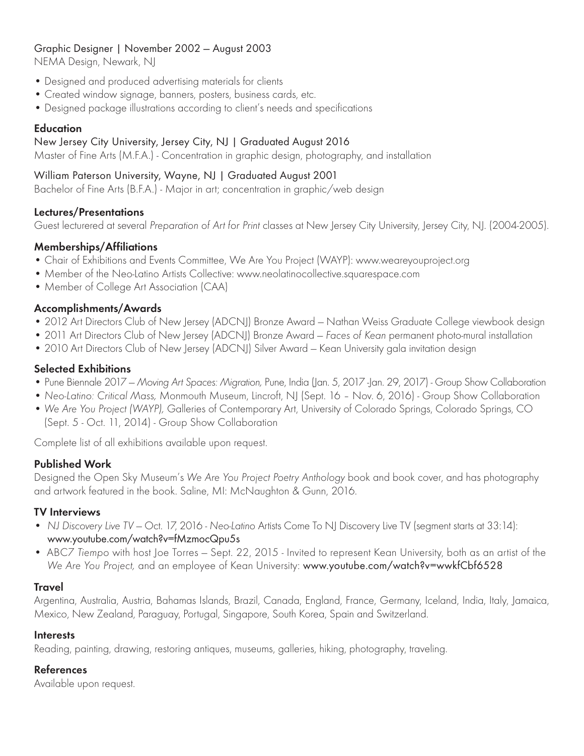# Graphic Designer | November 2002 — August 2003

NEMA Design, Newark, NJ

- Designed and produced advertising materials for clients
- Created window signage, banners, posters, business cards, etc.
- Designed package illustrations according to client's needs and specifications

#### **Education**

#### New Jersey City University, Jersey City, NJ | Graduated August 2016

Master of Fine Arts (M.F.A.) - Concentration in graphic design, photography, and installation

# William Paterson University, Wayne, NJ | Graduated August 2001

Bachelor of Fine Arts (B.F.A.) - Major in art; concentration in graphic/web design

#### **Lectures/Presentations**

Guest lecturered at several *Preparation of Art for Print* classes at New Jersey City University, Jersey City, NJ. (2004-2005).

# **Memberships/Affiliations**

- Chair of Exhibitions and Events Committee, We Are You Project (WAYP): www.weareyouproject.org
- Member of the Neo-Latino Artists Collective: www.neolatinocollective.squarespace.com
- Member of College Art Association (CAA)

# **Accomplishments/Awards**

- 2012 Art Directors Club of New Jersey (ADCNJ) Bronze Award Nathan Weiss Graduate College viewbook design
- 2011 Art Directors Club of New Jersey (ADCNJ) Bronze Award *Faces of Kean* permanent photo-mural installation
- 2010 Art Directors Club of New Jersey (ADCNJ) Silver Award Kean University gala invitation design

# **Selected Exhibitions**

- Pune Biennale 2017 *Moving Art Spaces: Migration,* Pune, India (Jan. 5, 2017 -Jan. 29, 2017) Group Show Collaboration
- *Neo-Latino: Critical Mass,* Monmouth Museum, Lincroft, NJ (Sept. 16 Nov. 6, 2016) Group Show Collaboration
- *We Are You Project (WAYP),* Galleries of Contemporary Art, University of Colorado Springs, Colorado Springs, CO (Sept. 5 - Oct. 11, 2014) - Group Show Collaboration

Complete list of all exhibitions available upon request.

# **Published Work**

Designed the Open Sky Museum's *We Are You Project Poetry Anthology* book and book cover, and has photography and artwork featured in the book. Saline, MI: McNaughton & Gunn, 2016.

# **TV Interviews**

- *NJ Discovery Live TV* Oct. 17, 2016 *Neo-Latino* Artists Come To NJ Discovery Live TV (segment starts at 33:14): www.youtube.com/watch?v=fMzmocQpu5s
- ABC7 *Tiempo* with host Joe Torres Sept. 22, 2015 Invited to represent Kean University, both as an artist of the *We Are You Project,* and an employee of Kean University: www.youtube.com/watch?v=wwkfCbf6528

# **Travel**

Argentina, Australia, Austria, Bahamas Islands, Brazil, Canada, England, France, Germany, Iceland, India, Italy, Jamaica, Mexico, New Zealand, Paraguay, Portugal, Singapore, South Korea, Spain and Switzerland.

# **Interests**

Reading, painting, drawing, restoring antiques, museums, galleries, hiking, photography, traveling.

# **References**

Available upon request.